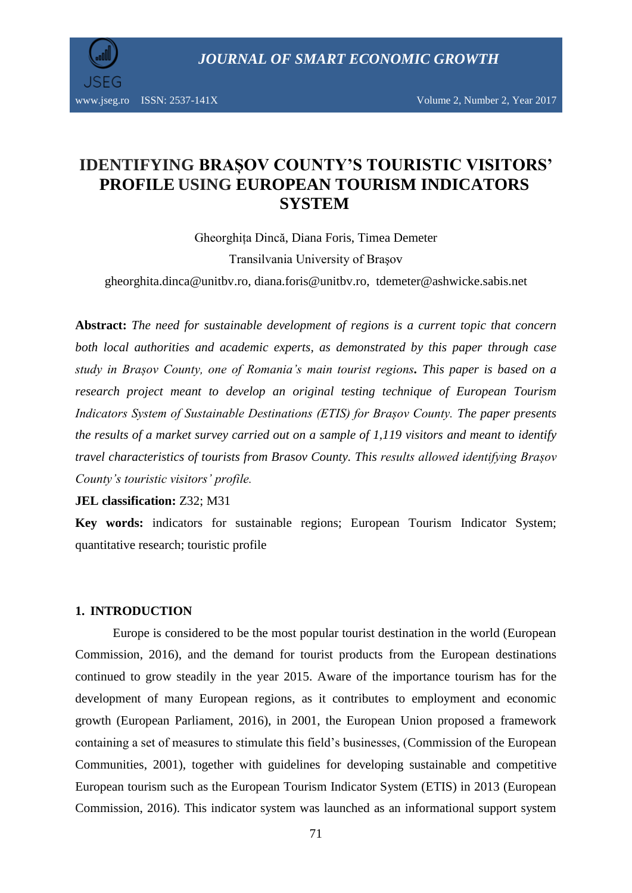

# **IDENTIFYING BRAȘOV COUNTY'S TOURISTIC VISITORS' PROFILE USING EUROPEAN TOURISM INDICATORS SYSTEM**

Gheorghița Dincă, Diana Foris, Timea Demeter Transilvania University of Braşov [gheorghita.dinca@unitbv.ro,](mailto:gheorghita.dinca@unitbv.ro) [diana.foris@unitbv.ro,](mailto:diana.foris@unitbv.ro) [tdemeter@ashwicke.sabis.net](mailto:tdemeter@ashwicke.sabis.net)

**Abstract:** *The need for sustainable development of regions is a current topic that concern both local authorities and academic experts, as demonstrated by this paper through case study in Brașov County, one of Romania's main tourist regions. This paper is based on a research project meant to develop an original testing technique of European Tourism Indicators System of Sustainable Destinations (ETIS) for Brașov County. The paper presents the results of a market survey carried out on a sample of 1,119 visitors and meant to identify travel characteristics of tourists from Brasov County. This results allowed identifying Brașov County's touristic visitors' profile.*

**JEL classification:** Z32; M31

**Key words:** indicators for sustainable regions; European Tourism Indicator System; quantitative research; touristic profile

### **1. INTRODUCTION**

Europe is considered to be the most popular tourist destination in the world (European Commission, 2016), and the demand for tourist products from the European destinations continued to grow steadily in the year 2015. Aware of the importance tourism has for the development of many European regions, as it contributes to employment and economic growth (European Parliament, 2016), in 2001, the European Union proposed a framework containing a set of measures to stimulate this field's businesses, (Commission of the European Communities, 2001), together with guidelines for developing sustainable and competitive European tourism such as the European Tourism Indicator System (ETIS) in 2013 (European Commission, 2016). This indicator system was launched as an informational support system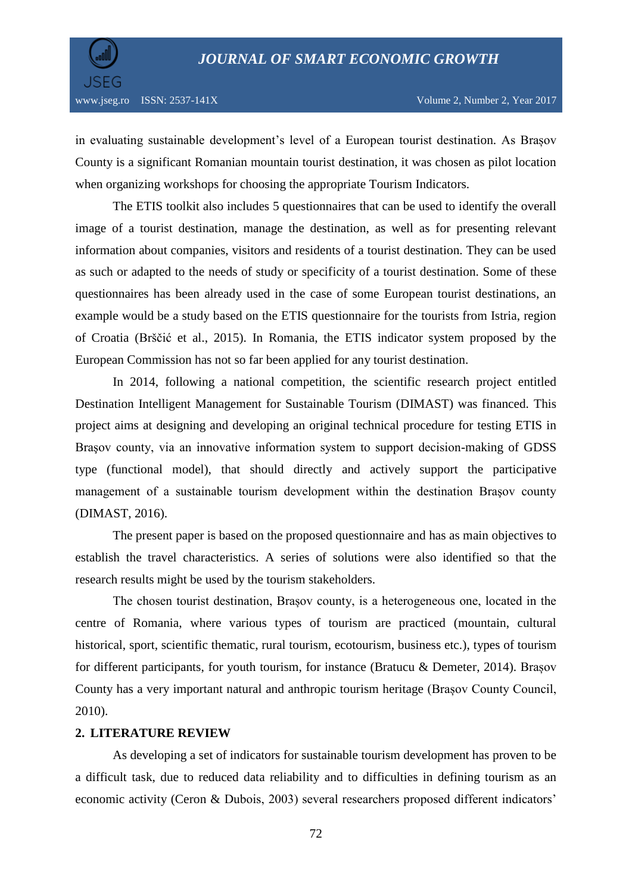

in evaluating sustainable development's level of a European tourist destination. As Brașov County is a significant Romanian mountain tourist destination, it was chosen as pilot location when organizing workshops for choosing the appropriate Tourism Indicators.

The ETIS toolkit also includes 5 questionnaires that can be used to identify the overall image of a tourist destination, manage the destination, as well as for presenting relevant information about companies, visitors and residents of a tourist destination. They can be used as such or adapted to the needs of study or specificity of a tourist destination. Some of these questionnaires has been already used in the case of some European tourist destinations, an example would be a study based on the ETIS questionnaire for the tourists from Istria, region of Croatia (Brščić et al., 2015). In Romania, the ETIS indicator system proposed by the European Commission has not so far been applied for any tourist destination.

In 2014, following a national competition, the scientific research project entitled Destination Intelligent Management for Sustainable Tourism (DIMAST) was financed. This project aims at designing and developing an original technical procedure for testing ETIS in Braşov county, via an innovative information system to support decision-making of GDSS type (functional model), that should directly and actively support the participative management of a sustainable tourism development within the destination Braşov county (DIMAST, 2016).

The present paper is based on the proposed questionnaire and has as main objectives to establish the travel characteristics. A series of solutions were also identified so that the research results might be used by the tourism stakeholders.

The chosen tourist destination, Brașov county, is a heterogeneous one, located in the centre of Romania, where various types of tourism are practiced (mountain, cultural historical, sport, scientific thematic, rural tourism, ecotourism, business etc.), types of tourism for different participants, for youth tourism, for instance (Bratucu & Demeter, 2014). Brașov County has a very important natural and anthropic tourism heritage (Brașov County Council, 2010).

#### **2. LITERATURE REVIEW**

As developing a set of indicators for sustainable tourism development has proven to be a difficult task, due to reduced data reliability and to difficulties in defining tourism as an economic activity (Ceron & Dubois, 2003) several researchers proposed different indicators'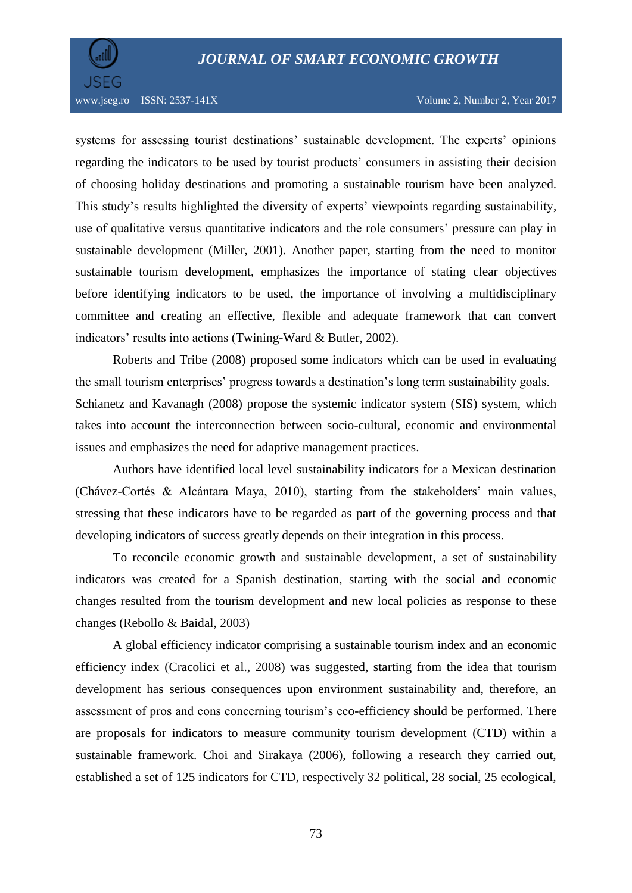

systems for assessing tourist destinations' sustainable development. The experts' opinions regarding the indicators to be used by tourist products' consumers in assisting their decision of choosing holiday destinations and promoting a sustainable tourism have been analyzed. This study's results highlighted the diversity of experts' viewpoints regarding sustainability, use of qualitative versus quantitative indicators and the role consumers' pressure can play in sustainable development (Miller, 2001). Another paper, starting from the need to monitor sustainable tourism development, emphasizes the importance of stating clear objectives before identifying indicators to be used, the importance of involving a multidisciplinary committee and creating an effective, flexible and adequate framework that can convert indicators' results into actions (Twining-Ward & Butler, 2002).

Roberts and Tribe (2008) proposed some indicators which can be used in evaluating the small tourism enterprises' progress towards a destination's long term sustainability goals. Schianetz and Kavanagh (2008) propose the systemic indicator system (SIS) system, which takes into account the interconnection between socio-cultural, economic and environmental issues and emphasizes the need for adaptive management practices.

Authors have identified local level sustainability indicators for a Mexican destination (Chávez-Cortés & Alcántara Maya, 2010), starting from the stakeholders' main values, stressing that these indicators have to be regarded as part of the governing process and that developing indicators of success greatly depends on their integration in this process.

To reconcile economic growth and sustainable development, a set of sustainability indicators was created for a Spanish destination, starting with the social and economic changes resulted from the tourism development and new local policies as response to these changes [\(Rebollo](http://www.tandfonline.com/author/Rebollo%2C+J+Fernando+Vera) & [Baidal,](http://www.tandfonline.com/author/Baidal%2C+Josep+A+Ivars) 2003)

A global efficiency indicator comprising a sustainable tourism index and an economic efficiency index (Cracolici et al., 2008) was suggested, starting from the idea that tourism development has serious consequences upon environment sustainability and, therefore, an assessment of pros and cons concerning tourism's eco-efficiency should be performed. There are proposals for indicators to measure community tourism development (CTD) within a sustainable framework. [Choi](http://scholar.google.ro/citations?user=0hieV-oAAAAJ&hl=ro&oi=sra) and [Sirakaya](http://scholar.google.ro/citations?user=EzMcFXIAAAAJ&hl=ro&oi=sra) (2006), following a research they carried out, established a set of 125 indicators for CTD, respectively 32 political, 28 social, 25 ecological,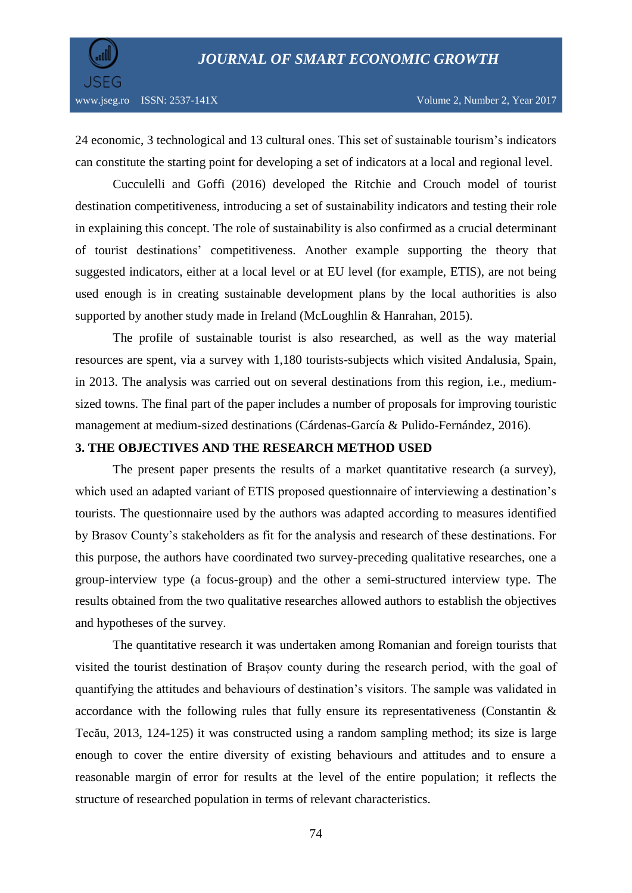

24 economic, 3 technological and 13 cultural ones. This set of sustainable tourism's indicators can constitute the starting point for developing a set of indicators at a local and regional level.

Cucculelli and [Goffi](http://www.sciencedirect.com/science/article/pii/S0959652614013663) (2016) developed the Ritchie and Crouch model of tourist destination competitiveness, introducing a set of sustainability indicators and testing their role in explaining this concept. The role of sustainability is also confirmed as a crucial determinant of tourist destinations' competitiveness. Another example supporting the theory that suggested indicators, either at a local level or at EU level (for example, ETIS), are not being used enough is in creating sustainable development plans by the local authorities is also supported by another study made in Ireland (McLoughlin & Hanrahan, 2015).

The profile of sustainable tourist is also researched, as well as the way material resources are spent, via a survey with 1,180 tourists-subjects which visited Andalusia, Spain, in 2013. The analysis was carried out on several destinations from this region, i.e., mediumsized towns. The final part of the paper includes a number of proposals for improving touristic management at medium-sized destinations [\(Cárdenas-García & Pulido-Fernández, 2](http://www.cabdirect.org/search.html?q=au%3A%22C%C3%A1rdenas-Garc%C3%ADa%2C+P.+J.%22)016).

#### **3. THE OBJECTIVES AND THE RESEARCH METHOD USED**

The present paper presents the results of a market quantitative research (a survey), which used an adapted variant of ETIS proposed questionnaire of interviewing a destination's tourists. The questionnaire used by the authors was adapted according to measures identified by Brasov County's stakeholders as fit for the analysis and research of these destinations. For this purpose, the authors have coordinated two survey-preceding qualitative researches, one a group-interview type (a focus-group) and the other a semi-structured interview type. The results obtained from the two qualitative researches allowed authors to establish the objectives and hypotheses of the survey.

The quantitative research it was undertaken among Romanian and foreign tourists that visited the tourist destination of Brașov county during the research period, with the goal of quantifying the attitudes and behaviours of destination's visitors. The sample was validated in accordance with the following rules that fully ensure its representativeness (Constantin & Tecău, 2013, 124-125) it was constructed using a random sampling method; its size is large enough to cover the entire diversity of existing behaviours and attitudes and to ensure a reasonable margin of error for results at the level of the entire population; it reflects the structure of researched population in terms of relevant characteristics.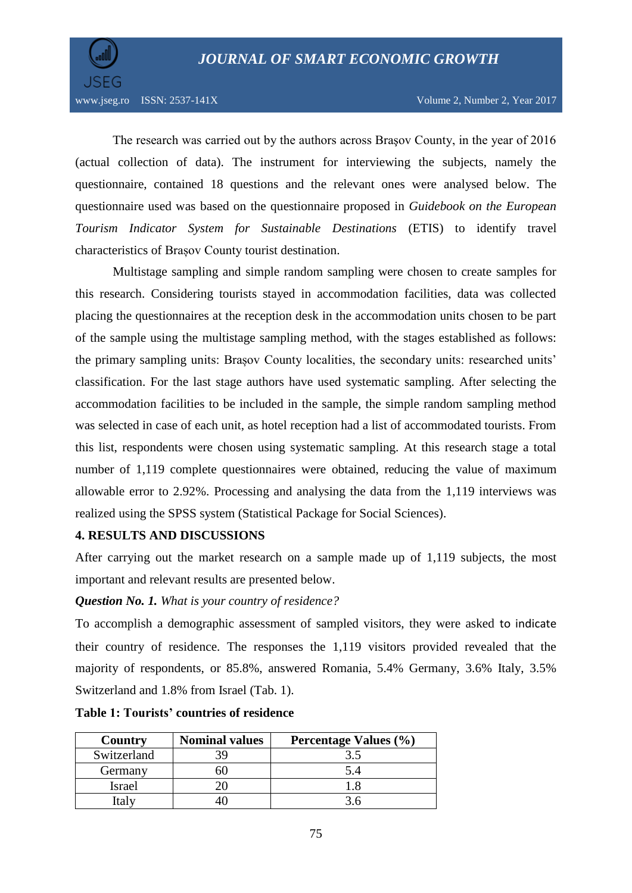

The research was carried out by the authors across Braşov County, in the year of 2016 (actual collection of data). The instrument for interviewing the subjects, namely the questionnaire, contained 18 questions and the relevant ones were analysed below. The questionnaire used was based on the questionnaire proposed in *Guidebook on the European Tourism Indicator System for Sustainable Destinations* (ETIS) to identify travel characteristics of Brașov County tourist destination.

Multistage sampling and simple random sampling were chosen to create samples for this research. Considering tourists stayed in accommodation facilities, data was collected placing the questionnaires at the reception desk in the accommodation units chosen to be part of the sample using the multistage sampling method, with the stages established as follows: the primary sampling units: Brașov County localities, the secondary units: researched units' classification. For the last stage authors have used systematic sampling. After selecting the accommodation facilities to be included in the sample, the simple random sampling method was selected in case of each unit, as hotel reception had a list of accommodated tourists. From this list, respondents were chosen using systematic sampling. At this research stage a total number of 1,119 complete questionnaires were obtained, reducing the value of maximum allowable error to 2.92%. Processing and analysing the data from the 1,119 interviews was realized using the SPSS system (Statistical Package for Social Sciences).

### **4. RESULTS AND DISCUSSIONS**

After carrying out the market research on a sample made up of 1,119 subjects, the most important and relevant results are presented below.

### *Question No. 1. What is your country of residence?*

To accomplish a demographic assessment of sampled visitors, they were asked to indicate their country of residence. The responses the 1,119 visitors provided revealed that the majority of respondents, or 85.8%, answered Romania, 5.4% Germany, 3.6% Italy, 3.5% Switzerland and 1.8% from Israel (Tab. 1).

| Country     | <b>Nominal values</b> | Percentage Values (%) |
|-------------|-----------------------|-----------------------|
| Switzerland |                       |                       |
| Germany     |                       |                       |
| Israel      |                       |                       |
| taly        |                       |                       |

**Table 1: Tourists' countries of residence**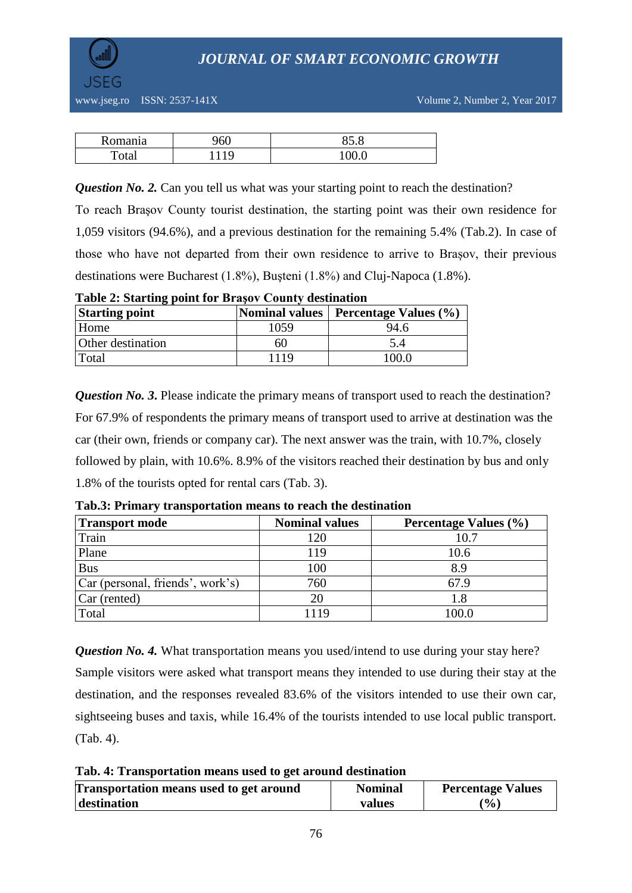

| Romania | 960 | O E<br>0J.O      |
|---------|-----|------------------|
| Total   | 1 Q | 100 <sup>o</sup> |

*Question No. 2.* Can you tell us what was your starting point to reach the destination?

To reach Braşov County tourist destination, the starting point was their own residence for 1,059 visitors (94.6%), and a previous destination for the remaining 5.4% (Tab.2). In case of those who have not departed from their own residence to arrive to Brașov, their previous destinations were Bucharest (1.8%), Buşteni (1.8%) and Cluj-Napoca (1.8%).

**Starting point Nominal values Percentage Values** (%) Home 1059 94.6 Other destination 60 5.4 Total 1119 100.0

**Table 2: Starting point for Braşov County destination**

*Question No. 3*. Please indicate the primary means of transport used to reach the destination? For 67.9% of respondents the primary means of transport used to arrive at destination was the car (their own, friends or company car). The next answer was the train, with 10.7%, closely followed by plain, with 10.6%. 8.9% of the visitors reached their destination by bus and only 1.8% of the tourists opted for rental cars (Tab. 3).

| <b>Transport mode</b>            | <b>Nominal values</b> | Percentage Values (%) |
|----------------------------------|-----------------------|-----------------------|
| Train                            | 120                   | 10.7                  |
| Plane                            | 119                   | 10.6                  |
| <b>Bus</b>                       | 100                   | 8.9                   |
| Car (personal, friends', work's) | 760                   | 67.9                  |
| Car (rented)                     | 20                    | 1.8                   |
| Total                            | 119                   | 100.0                 |

**Tab.3: Primary transportation means to reach the destination**

*Question No. 4.* What transportation means you used/intend to use during your stay here? Sample visitors were asked what transport means they intended to use during their stay at the destination, and the responses revealed 83.6% of the visitors intended to use their own car, sightseeing buses and taxis, while 16.4% of the tourists intended to use local public transport. (Tab. 4).

**Tab. 4: Transportation means used to get around destination**

| Transportation means used to get around | <b>Nominal</b> | <b>Percentage Values</b>     |
|-----------------------------------------|----------------|------------------------------|
| destination                             | values         | $\left( \frac{0}{0} \right)$ |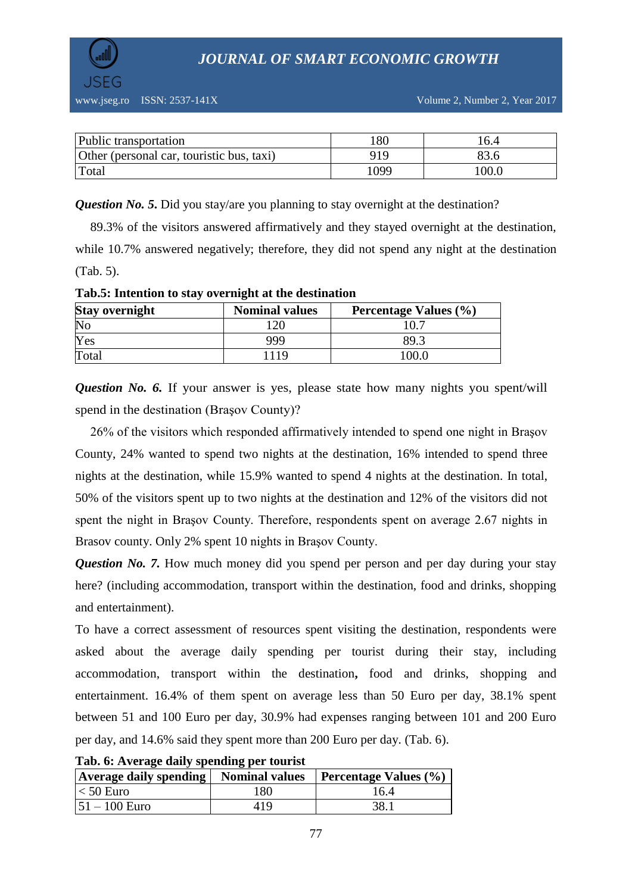

| Public transportation                     | .80  | 0.4   |
|-------------------------------------------|------|-------|
| Other (personal car, touristic bus, taxi) | 919  |       |
| Total                                     | 1099 | .00.0 |

*Question No. 5*. Did you stay/are you planning to stay overnight at the destination?

89.3% of the visitors answered affirmatively and they stayed overnight at the destination, while 10.7% answered negatively; therefore, they did not spend any night at the destination (Tab. 5).

| <b>Stay overnight</b> | <b>Nominal values</b> | <b>Percentage Values (%)</b> |
|-----------------------|-----------------------|------------------------------|
| No                    |                       |                              |
| Yes                   | 999                   | 89.3                         |
| Total                 |                       | 100.0                        |

**Tab.5: Intention to stay overnight at the destination**

*Question No. 6.* If your answer is yes, please state how many nights you spent/will spend in the destination (Braşov County)?

26% of the visitors which responded affirmatively intended to spend one night in Braşov County, 24% wanted to spend two nights at the destination, 16% intended to spend three nights at the destination, while 15.9% wanted to spend 4 nights at the destination. In total, 50% of the visitors spent up to two nights at the destination and 12% of the visitors did not spent the night in Braşov County. Therefore, respondents spent on average 2.67 nights in Brasov county. Only 2% spent 10 nights in Braşov County.

*Question No. 7.* How much money did you spend per person and per day during your stay here? (including accommodation, transport within the destination, food and drinks, shopping and entertainment).

To have a correct assessment of resources spent visiting the destination, respondents were asked about the average daily spending per tourist during their stay, including accommodation, transport within the destination**,** food and drinks, shopping and entertainment. 16.4% of them spent on average less than 50 Euro per day, 38.1% spent between 51 and 100 Euro per day, 30.9% had expenses ranging between 101 and 200 Euro per day, and 14.6% said they spent more than 200 Euro per day. (Tab. 6).

| Tab. 0. Average dany spending per tourist<br><b>Average daily spending   Nominal values</b> |     | <b>Percentage Values <math>(\% )</math></b> |
|---------------------------------------------------------------------------------------------|-----|---------------------------------------------|
| $\vert$ < 50 Euro                                                                           | 180 | 16.4                                        |
| $ 51 - 100 \text{ Euro} $                                                                   | 419 | 38.1                                        |

**Tab. 6: Average daily spending per tourist**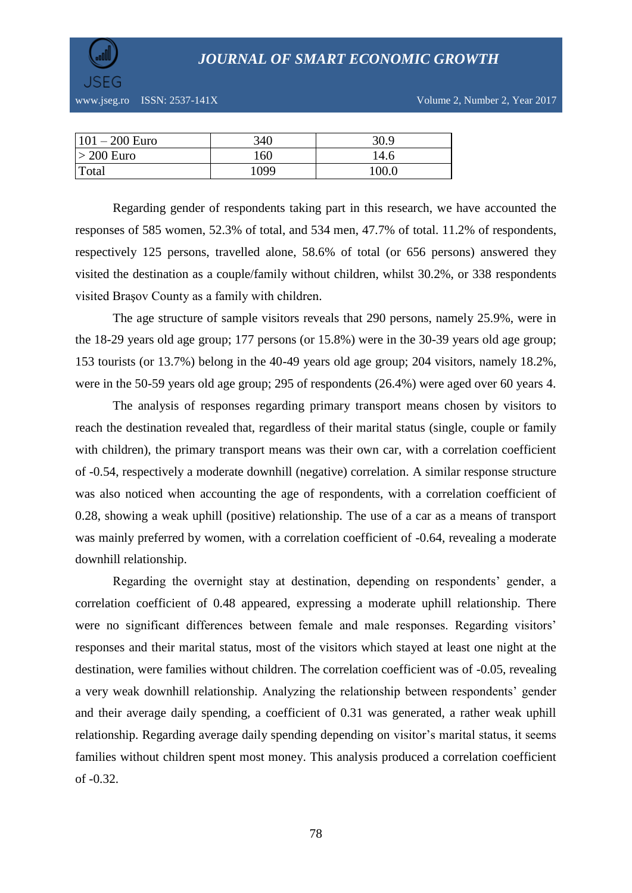

www.jseg.ro ISSN: 2537-141X Volume 2, Number 2, Year 2017

| $101 - 200$ Euro | 340  | 30.9  |
|------------------|------|-------|
| $> 200$ Euro     | 160  | 14.6  |
| Total            | 1099 | 100.0 |

Regarding gender of respondents taking part in this research, we have accounted the responses of 585 women, 52.3% of total, and 534 men, 47.7% of total. 11.2% of respondents, respectively 125 persons, travelled alone, 58.6% of total (or 656 persons) answered they visited the destination as a couple/family without children, whilst 30.2%, or 338 respondents visited Braşov County as a family with children.

The age structure of sample visitors reveals that 290 persons, namely 25.9%, were in the 18-29 years old age group; 177 persons (or 15.8%) were in the 30-39 years old age group; 153 tourists (or 13.7%) belong in the 40-49 years old age group; 204 visitors, namely 18.2%, were in the 50-59 years old age group; 295 of respondents (26.4%) were aged over 60 years 4.

The analysis of responses regarding primary transport means chosen by visitors to reach the destination revealed that, regardless of their marital status (single, couple or family with children), the primary transport means was their own car, with a correlation coefficient of -0.54, respectively a moderate downhill (negative) correlation. A similar response structure was also noticed when accounting the age of respondents, with a correlation coefficient of 0.28, showing a weak uphill (positive) relationship. The use of a car as a means of transport was mainly preferred by women, with a correlation coefficient of -0.64, revealing a moderate downhill relationship.

Regarding the overnight stay at destination, depending on respondents' gender, a correlation coefficient of 0.48 appeared, expressing a moderate uphill relationship. There were no significant differences between female and male responses. Regarding visitors' responses and their marital status, most of the visitors which stayed at least one night at the destination, were families without children. The correlation coefficient was of -0.05, revealing a very weak downhill relationship. Analyzing the relationship between respondents' gender and their average daily spending, a coefficient of 0.31 was generated, a rather weak uphill relationship. Regarding average daily spending depending on visitor's marital status, it seems families without children spent most money. This analysis produced a correlation coefficient of -0.32.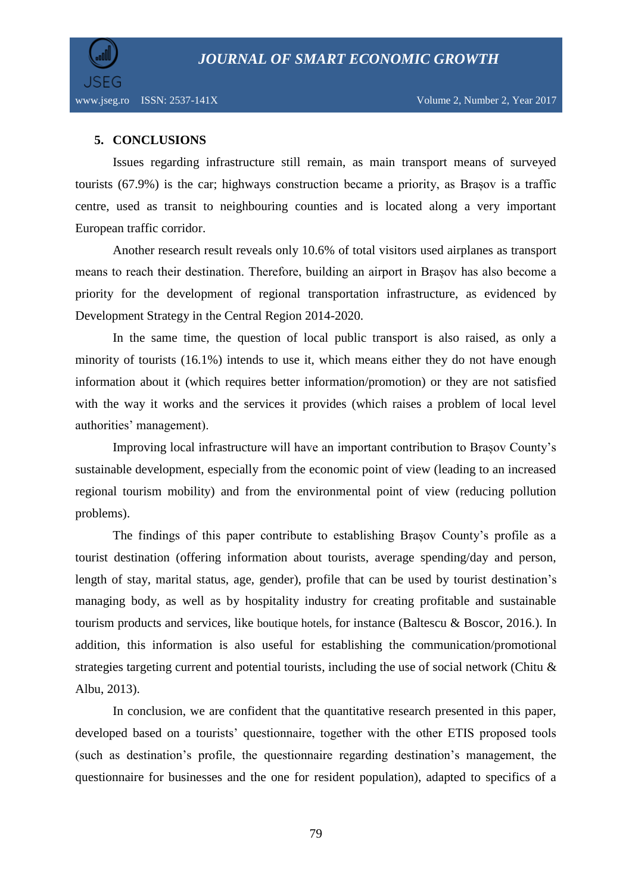

## **5. CONCLUSIONS**

Issues regarding infrastructure still remain, as main transport means of surveyed tourists (67.9%) is the car; highways construction became a priority, as Brașov is a traffic centre, used as transit to neighbouring counties and is located along a very important European traffic corridor.

Another research result reveals only 10.6% of total visitors used airplanes as transport means to reach their destination. Therefore, building an airport in Brașov has also become a priority for the development of regional transportation infrastructure, as evidenced by Development Strategy in the Central Region 2014-2020.

In the same time, the question of local public transport is also raised, as only a minority of tourists (16.1%) intends to use it, which means either they do not have enough information about it (which requires better information/promotion) or they are not satisfied with the way it works and the services it provides (which raises a problem of local level authorities' management).

Improving local infrastructure will have an important contribution to Brașov County's sustainable development, especially from the economic point of view (leading to an increased regional tourism mobility) and from the environmental point of view (reducing pollution problems).

The findings of this paper contribute to establishing Brașov County's profile as a tourist destination (offering information about tourists, average spending/day and person, length of stay, marital status, age, gender), profile that can be used by tourist destination's managing body, as well as by hospitality industry for creating profitable and sustainable tourism products and services, like boutique hotels, for instance (Baltescu & Boscor, 2016.). In addition, this information is also useful for establishing the communication/promotional strategies targeting current and potential tourists, including the use of social network (Chitu & Albu, 2013).

In conclusion, we are confident that the quantitative research presented in this paper, developed based on a tourists' questionnaire, together with the other ETIS proposed tools (such as destination's profile, the questionnaire regarding destination's management, the questionnaire for businesses and the one for resident population), adapted to specifics of a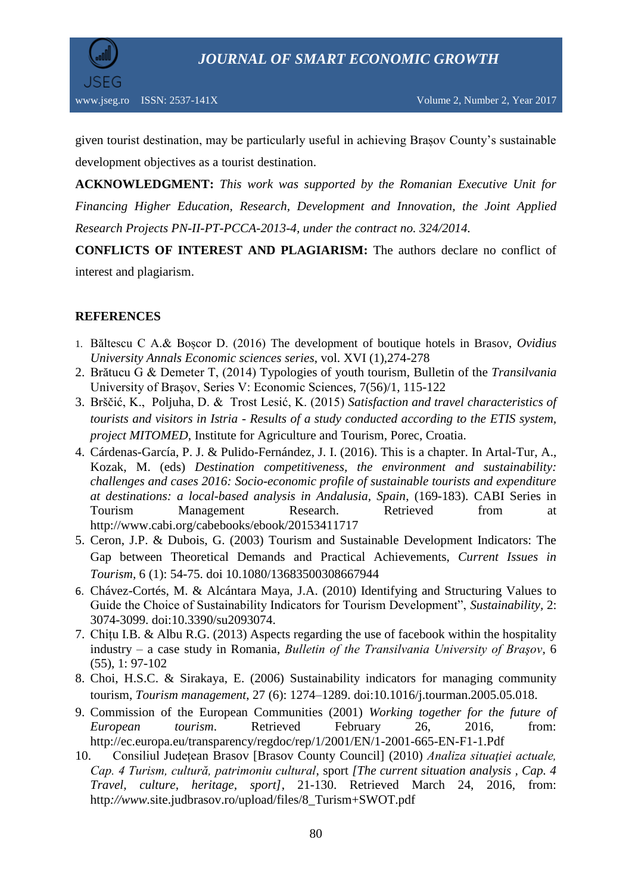

given tourist destination, may be particularly useful in achieving Brașov County's sustainable development objectives as a tourist destination.

**ACKNOWLEDGMENT:** *This work was supported by the Romanian Executive Unit for Financing Higher Education, Research, Development and Innovation, the Joint Applied Research Projects PN-II-PT-PCCA-2013-4, under the contract no. 324/2014.*

**CONFLICTS OF INTEREST AND PLAGIARISM:** The authors declare no conflict of interest and plagiarism.

## **REFERENCES**

- 1. Băltescu C A.& Boșcor D. (2016) The development of boutique hotels in Brasov, *Ovidius University Annals Economic sciences series*, vol. XVI (1),274-278
- 2. Brătucu G & Demeter T, (2014) Typologies of youth tourism, Bulletin of the *Transilvania*  University of Braşov, Series V: Economic Sciences, 7(56)/1, 115-122
- 3. Brščić, K., [Poljuha,](http://scholar.google.ro/citations?user=n4qyECEAAAAJ&hl=ro&oi=sra) D. & Trost Lesić, K. (2015) *[Satisfaction and travel characteristics of](http://bib.irb.hr/datoteka/782152.brosura_Mitomed_za_Institut_pdf.pdf)  tourists and visitors in Istria - [Results of a study conducted according to the ETIS system,](http://bib.irb.hr/datoteka/782152.brosura_Mitomed_za_Institut_pdf.pdf) project MITOMED*, Institute for Agriculture and Tourism, Porec, Croatia.
- 4. [Cárdenas-García, P. J.](http://www.cabdirect.org/search.html?q=au%3A%22C%C3%A1rdenas-Garc%C3%ADa%2C+P.+J.%22) & [Pulido-Fernández, J. I.](http://www.cabdirect.org/search.html?q=au%3A%22Pulido-Fern%C3%A1ndez%2C+J.+I.%22) (2016). This is a chapter. In Artal-Tur, A., Kozak, M. (eds) *Destination competitiveness, the environment and sustainability: challenges and cases 2016: Socio-economic profile of sustainable tourists and expenditure at destinations: a local-based analysis in Andalusia, Spain*, (169-183). CABI Series in Tourism Management Research. Retrieved from at <http://www.cabi.org/cabebooks/ebook/20153411717>
- 5. Ceron, J.P. & Dubois, G. (2003) Tourism and Sustainable Development Indicators: The Gap between Theoretical Demands and Practical Achievements, *Current Issues in Tourism,* [6](http://www.tandfonline.com/loi/rcit20?open=6&repitition=0#vol_6) (1): 54-75. doi 10.1080/13683500308667944
- 6. Chávez-Cortés, M. & Alcántara Maya, J.A. (2010) Identifying and Structuring Values to Guide the Choice of Sustainability Indicators for Tourism Development", *Sustainability,* 2: 3074-3099. doi:10.3390/su2093074.
- 7. Chițu I.B. & Albu R.G. (2013) Aspects regarding the use of facebook within the hospitality industry – a case study in Romania, *Bulletin of the Transilvania University of Braşov,* 6 (55), 1: 97-102
- 8. [Choi,](http://scholar.google.ro/citations?user=0hieV-oAAAAJ&hl=ro&oi=sra) H.S.C. & [Sirakaya,](http://scholar.google.ro/citations?user=EzMcFXIAAAAJ&hl=ro&oi=sra) E. (2006) [Sustainability indicators](http://www.sciencedirect.com/science/article/pii/S0261517705000737) for managing community [tourism,](http://www.sciencedirect.com/science/article/pii/S0261517705000737) *Tourism management*, [27 \(6\)](http://www.sciencedirect.com/science/journal/02615177/27/6): 1274–1289. [doi:10.1016/j.tourman.2005.05.018.](http://dx.doi.org/10.1016/j.tourman.2005.05.018)
- 9. Commission of the European Communities (2001) *Working together for the future of European tourism*. Retrieved February 26, 2016, from: <http://ec.europa.eu/transparency/regdoc/rep/1/2001/EN/1-2001-665-EN-F1-1.Pdf>
- 10. Consiliul Județean Brasov [Brasov County Council] (2010) *Analiza situației actuale*, *Cap. 4 Turism, cultură, patrimoniu cultural*, sport *[The current situation analysis , Cap. 4 Travel, culture, heritage, sport]*, 21-130. Retrieved March 24, 2016, from: http*://www.*site.judbrasov.ro/upload/files/8\_Turism+SWOT.pdf